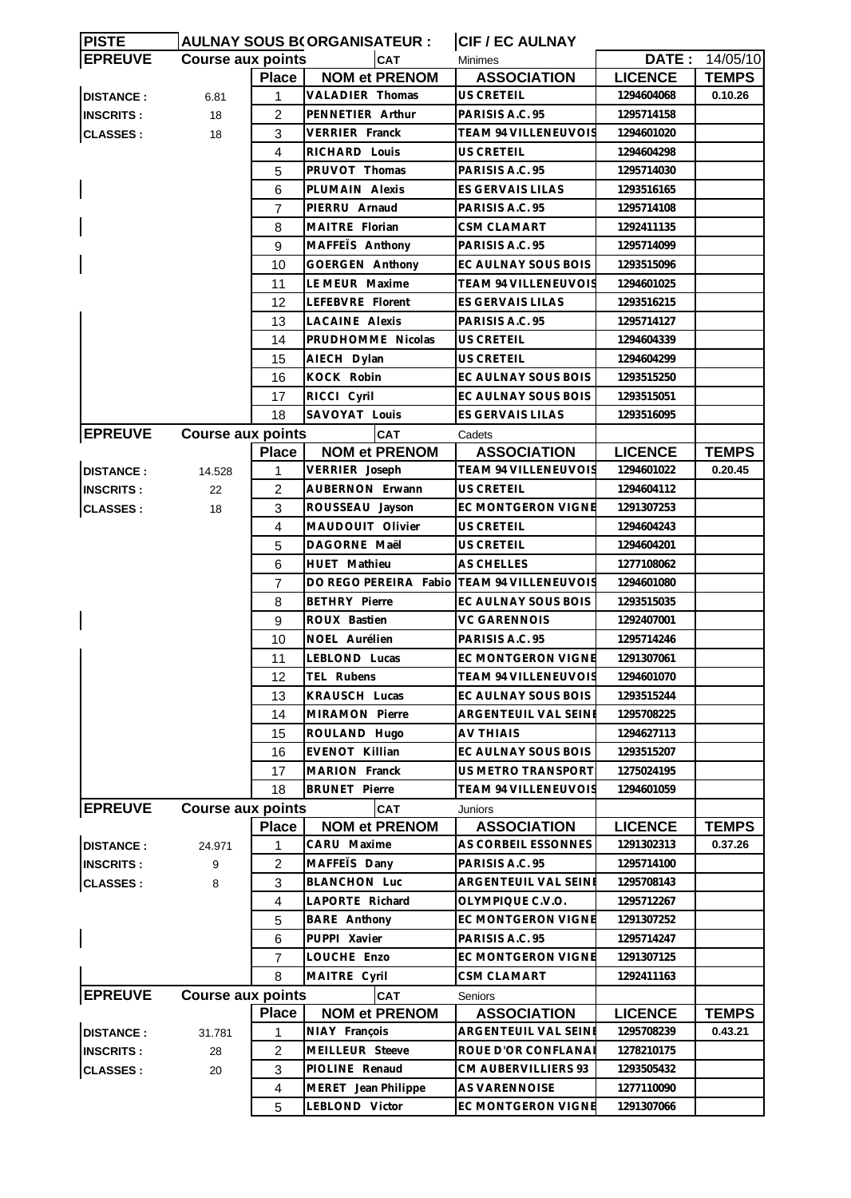| <b>PISTE</b>     | <b>AULNAY SOUS B(ORGANISATEUR:</b>     |                | <b>CIF / EC AULNAY</b>                     |                                  |                |              |
|------------------|----------------------------------------|----------------|--------------------------------------------|----------------------------------|----------------|--------------|
| <b>EPREUVE</b>   | <b>Course aux points</b><br><b>CAT</b> |                |                                            | DATE: 14/05/10<br><b>Minimes</b> |                |              |
|                  |                                        | <b>Place</b>   | <b>NOM et PRENOM</b>                       | <b>ASSOCIATION</b>               | <b>LICENCE</b> | <b>TEMPS</b> |
| <b>DISTANCE:</b> | 6.81                                   | 1              | VALADIER Thomas                            | <b>US CRETEIL</b>                | 1294604068     | 0.10.26      |
| <b>INSCRITS:</b> | 18                                     | $\overline{2}$ | PENNETIER Arthur                           | PARISIS A.C. 95                  | 1295714158     |              |
| <b>CLASSES:</b>  | 18                                     | 3              | <b>VERRIER Franck</b>                      | <b>TEAM 94 VILLENEUVOIS</b>      | 1294601020     |              |
|                  |                                        | 4              | RICHARD Louis                              | <b>US CRETEIL</b>                | 1294604298     |              |
|                  |                                        | 5              | PRUVOT Thomas                              | PARISIS A.C. 95                  | 1295714030     |              |
|                  |                                        | 6              | PLUMAIN Alexis                             | <b>ES GERVAIS LILAS</b>          | 1293516165     |              |
|                  |                                        | $\overline{7}$ | PIERRU Arnaud                              | PARISIS A.C. 95                  | 1295714108     |              |
|                  |                                        | 8              | MAITRE Florian                             | <b>CSM CLAMART</b>               | 1292411135     |              |
|                  |                                        | 9              | MAFFEIS Anthony                            | PARISIS A.C. 95                  | 1295714099     |              |
|                  |                                        | 10             | <b>GOERGEN Anthony</b>                     | EC AULNAY SOUS BOIS              | 1293515096     |              |
|                  |                                        | 11             | LE MEUR Maxime                             | TEAM 94 VILLENEUVOIS             | 1294601025     |              |
|                  |                                        | 12             | LEFEBVRE Florent                           | ES GERVAIS LILAS                 | 1293516215     |              |
|                  |                                        | 13             | <b>LACAINE Alexis</b>                      | PARISIS A.C. 95                  | 1295714127     |              |
|                  |                                        | 14             | PRUDHOMME Nicolas                          | <b>US CRETEIL</b>                | 1294604339     |              |
|                  |                                        | 15             | AIECH Dylan                                | US CRETEIL                       | 1294604299     |              |
|                  |                                        | 16             | KOCK Robin                                 | EC AULNAY SOUS BOIS              | 1293515250     |              |
|                  |                                        | 17             | RICCI Cyril                                | EC AULNAY SOUS BOIS              | 1293515051     |              |
|                  |                                        | 18             | SAVOYAT Louis                              | <b>ES GERVAIS LILAS</b>          | 1293516095     |              |
| <b>EPREUVE</b>   | <b>Course aux points</b>               |                | <b>CAT</b>                                 | Cadets                           |                |              |
|                  |                                        | <b>Place</b>   | <b>NOM et PRENOM</b>                       | <b>ASSOCIATION</b>               | <b>LICENCE</b> | <b>TEMPS</b> |
| <b>DISTANCE:</b> | 14.528                                 | 1              | VERRIER Joseph                             | TEAM 94 VILLENEUVOIS             | 1294601022     | 0.20.45      |
| <b>INSCRITS:</b> |                                        | 2              | AUBERNON Erwann                            | US CRETEIL                       | 1294604112     |              |
|                  | 22                                     |                |                                            | <b>EC MONTGERON VIGNE</b>        |                |              |
| <b>CLASSES:</b>  | 18                                     | 3              | ROUSSEAU Jayson<br>MAUDOUIT Olivier        | <b>US CRETEIL</b>                | 1291307253     |              |
|                  |                                        | $\overline{4}$ |                                            |                                  | 1294604243     |              |
|                  |                                        | 5              | DAGORNE Maël                               | US CRETEIL                       | 1294604201     |              |
|                  |                                        | 6              | HUET Mathieu                               | AS CHELLES                       | 1277108062     |              |
|                  |                                        | $\overline{7}$ | DO REGO PEREIRA Fabio TEAM 94 VILLENEUVOIS |                                  | 1294601080     |              |
|                  |                                        | 8              | <b>BETHRY Pierre</b>                       | EC AULNAY SOUS BOIS              | 1293515035     |              |
|                  |                                        | 9              | ROUX Bastien                               | <b>VC GARENNOIS</b>              | 1292407001     |              |
|                  |                                        | 10             | NOEL Aurélien                              | PARISIS A.C. 95                  | 1295714246     |              |
|                  |                                        | 11             | LEBLOND Lucas                              | EC MONTGERON VIGNE               | 1291307061     |              |
|                  |                                        | 12             | TEL Rubens                                 | TEAM 94 VILLENEUVOIS             | 1294601070     |              |
|                  |                                        | 13             | KRAUSCH Lucas                              | EC AULNAY SOUS BOIS              | 1293515244     |              |
|                  |                                        | 14             | MIRAMON Pierre                             | ARGENTEUIL VAL SEINE             | 1295708225     |              |
|                  |                                        | 15             | ROULAND Hugo                               | AV THIAIS                        | 1294627113     |              |
|                  |                                        | 16             | EVENOT Killian                             | EC AULNAY SOUS BOIS              | 1293515207     |              |
|                  |                                        | 17             | MARION Franck                              | US METRO TRANSPORT               | 1275024195     |              |
|                  |                                        | 18             | <b>BRUNET</b> Pierre                       | <b>TEAM 94 VILLENEUVOIS</b>      | 1294601059     |              |
| <b>EPREUVE</b>   | <b>Course aux points</b><br>CAT        |                | Juniors                                    |                                  |                |              |
|                  |                                        | <b>Place</b>   | <b>NOM et PRENOM</b>                       | <b>ASSOCIATION</b>               | <b>LICENCE</b> | <b>TEMPS</b> |
| <b>DISTANCE:</b> | 24.971                                 | 1              | CARU Maxime                                | AS CORBEIL ESSONNES              | 1291302313     | 0.37.26      |
| <b>INSCRITS:</b> | 9                                      | 2              | MAFFETS Dany                               | PARISIS A.C. 95                  | 1295714100     |              |
| <b>CLASSES:</b>  | 8                                      | 3              | BLANCHON Luc                               | ARGENTEUIL VAL SEINE             | 1295708143     |              |
|                  |                                        | $\overline{4}$ | LAPORTE Richard                            | OLYMPIQUE C.V.O.                 | 1295712267     |              |
|                  |                                        | 5              | BARE Anthony                               | EC MONTGERON VIGNE               | 1291307252     |              |
|                  |                                        | 6              | PUPPI Xavier                               | PARISIS A.C. 95                  | 1295714247     |              |
|                  |                                        | 7              | LOUCHE Enzo                                | EC MONTGERON VIGNE               | 1291307125     |              |
|                  |                                        | 8              | MAITRE Cyril                               | <b>CSM CLAMART</b>               | 1292411163     |              |
| <b>EPREUVE</b>   | <b>Course aux points</b><br><b>CAT</b> |                |                                            | Seniors                          |                |              |
|                  |                                        | <b>Place</b>   | <b>NOM et PRENOM</b>                       | <b>ASSOCIATION</b>               | <b>LICENCE</b> | <b>TEMPS</b> |
| <b>DISTANCE:</b> | 31.781                                 | 1              | NIAY François                              | ARGENTEUIL VAL SEINE             | 1295708239     | 0.43.21      |
| <b>INSCRITS:</b> | 28                                     | $\overline{2}$ | MEILLEUR Steeve                            | ROUE D'OR CONFLANA               | 1278210175     |              |
| <b>CLASSES:</b>  | 20                                     | 3              | PIOLINE Renaud                             | CM AUBERVILLIERS 93              | 1293505432     |              |
|                  |                                        | 4              | MERET Jean Philippe                        | AS VARENNOISE                    | 1277110090     |              |
|                  |                                        | 5              | LEBLOND Victor                             | EC MONTGERON VIGNE               | 1291307066     |              |
|                  |                                        |                |                                            |                                  |                |              |